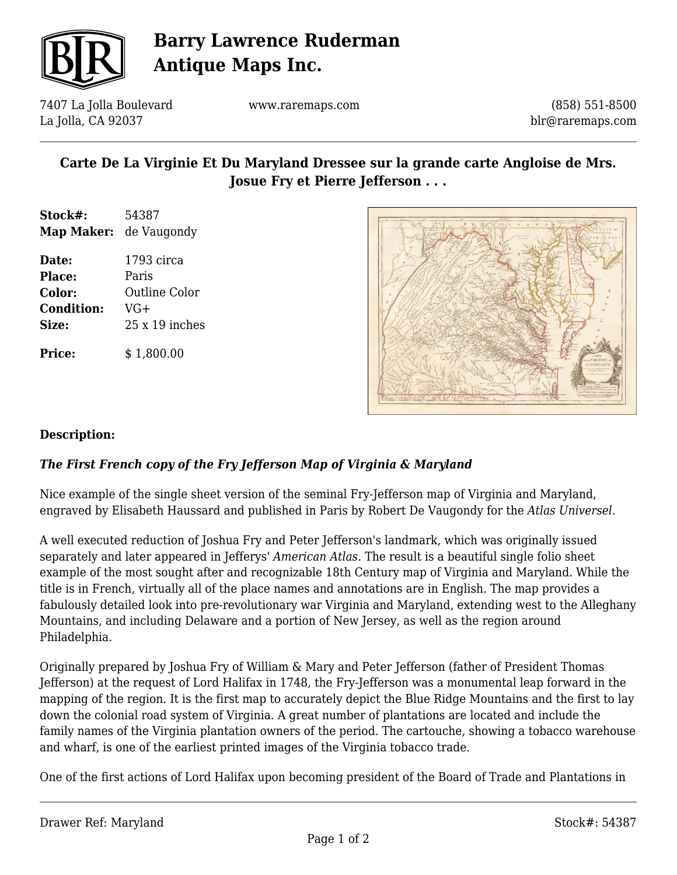

## **Barry Lawrence Ruderman Antique Maps Inc.**

7407 La Jolla Boulevard La Jolla, CA 92037

www.raremaps.com

(858) 551-8500 blr@raremaps.com

## **Carte De La Virginie Et Du Maryland Dressee sur la grande carte Angloise de Mrs. Josue Fry et Pierre Jefferson . . .**

- **Stock#:** 54387 **Map Maker:** de Vaugondy
- **Date:** 1793 circa **Place:** Paris **Color:** Outline Color **Condition:** VG+ **Size:** 25 x 19 inches

**Price:**  $$ 1,800.00$ 



#### **Description:**

### *The First French copy of the Fry Jefferson Map of Virginia & Maryland*

Nice example of the single sheet version of the seminal Fry-Jefferson map of Virginia and Maryland, engraved by Elisabeth Haussard and published in Paris by Robert De Vaugondy for the *Atlas Universel.*

A well executed reduction of Joshua Fry and Peter Jefferson's landmark, which was originally issued separately and later appeared in Jefferys' *American Atlas*. The result is a beautiful single folio sheet example of the most sought after and recognizable 18th Century map of Virginia and Maryland. While the title is in French, virtually all of the place names and annotations are in English. The map provides a fabulously detailed look into pre-revolutionary war Virginia and Maryland, extending west to the Alleghany Mountains, and including Delaware and a portion of New Jersey, as well as the region around Philadelphia.

Originally prepared by Joshua Fry of William & Mary and Peter Jefferson (father of President Thomas Jefferson) at the request of Lord Halifax in 1748, the Fry-Jefferson was a monumental leap forward in the mapping of the region. It is the first map to accurately depict the Blue Ridge Mountains and the first to lay down the colonial road system of Virginia. A great number of plantations are located and include the family names of the Virginia plantation owners of the period. The cartouche, showing a tobacco warehouse and wharf, is one of the earliest printed images of the Virginia tobacco trade.

One of the first actions of Lord Halifax upon becoming president of the Board of Trade and Plantations in